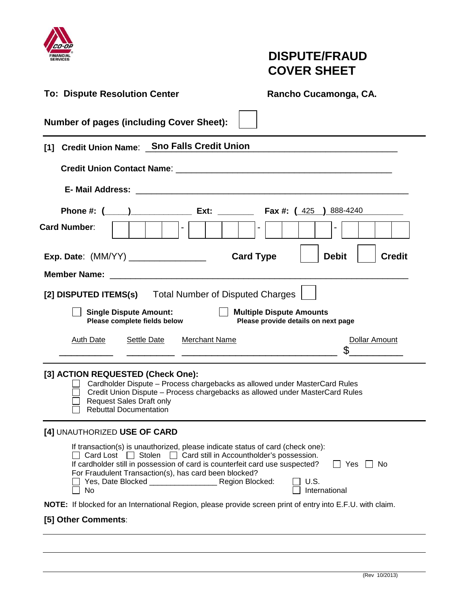

# **DISPUTE/FRAUD COVER SHEET**

| <b>To: Dispute Resolution Center</b>                                                                                                                                                                                                                                                                                                  | Rancho Cucamonga, CA.                                                  |  |  |  |  |  |  |
|---------------------------------------------------------------------------------------------------------------------------------------------------------------------------------------------------------------------------------------------------------------------------------------------------------------------------------------|------------------------------------------------------------------------|--|--|--|--|--|--|
| <b>Number of pages (including Cover Sheet):</b>                                                                                                                                                                                                                                                                                       |                                                                        |  |  |  |  |  |  |
| <b>Credit Union Name: Sno Falls Credit Union</b><br>[1]                                                                                                                                                                                                                                                                               |                                                                        |  |  |  |  |  |  |
|                                                                                                                                                                                                                                                                                                                                       |                                                                        |  |  |  |  |  |  |
|                                                                                                                                                                                                                                                                                                                                       |                                                                        |  |  |  |  |  |  |
| Phone #: $($ $)$ Ext: Ext: Fax #: $(425)$<br><b>Card Number:</b><br>$\sim$                                                                                                                                                                                                                                                            | 888-4240                                                               |  |  |  |  |  |  |
| <b>Exp. Date:</b> (MM/YY) ________________                                                                                                                                                                                                                                                                                            | <b>Card Type</b><br><b>Debit</b><br><b>Credit</b>                      |  |  |  |  |  |  |
| <b>Member Name:</b>                                                                                                                                                                                                                                                                                                                   |                                                                        |  |  |  |  |  |  |
| [2] DISPUTED ITEMS(s) Total Number of Disputed Charges                                                                                                                                                                                                                                                                                |                                                                        |  |  |  |  |  |  |
| <b>Single Dispute Amount:</b><br>Please complete fields below                                                                                                                                                                                                                                                                         | <b>Multiple Dispute Amounts</b><br>Please provide details on next page |  |  |  |  |  |  |
| <b>Merchant Name</b><br><b>Settle Date</b><br><b>Auth Date</b>                                                                                                                                                                                                                                                                        | <b>Dollar Amount</b>                                                   |  |  |  |  |  |  |
| [3] ACTION REQUESTED (Check One):<br>Cardholder Dispute - Process chargebacks as allowed under MasterCard Rules<br>Credit Union Dispute - Process chargebacks as allowed under MasterCard Rules<br><b>Request Sales Draft only</b><br><b>Rebuttal Documentation</b>                                                                   |                                                                        |  |  |  |  |  |  |
| [4] UNAUTHORIZED USE OF CARD                                                                                                                                                                                                                                                                                                          |                                                                        |  |  |  |  |  |  |
| If transaction(s) is unauthorized, please indicate status of card (check one):<br>$\Box$ Card Lost $\Box$ Stolen $\Box$ Card still in Accountholder's possession.<br>If cardholder still in possession of card is counterfeit card use suspected?<br>For Fraudulent Transaction(s), has card been blocked?<br>Yes, Date Blocked<br>No | Yes<br>IINo<br>U.S.<br>Region Blocked:<br>International                |  |  |  |  |  |  |
| NOTE: If blocked for an International Region, please provide screen print of entry into E.F.U. with claim.                                                                                                                                                                                                                            |                                                                        |  |  |  |  |  |  |
| [5] Other Comments:                                                                                                                                                                                                                                                                                                                   |                                                                        |  |  |  |  |  |  |
|                                                                                                                                                                                                                                                                                                                                       |                                                                        |  |  |  |  |  |  |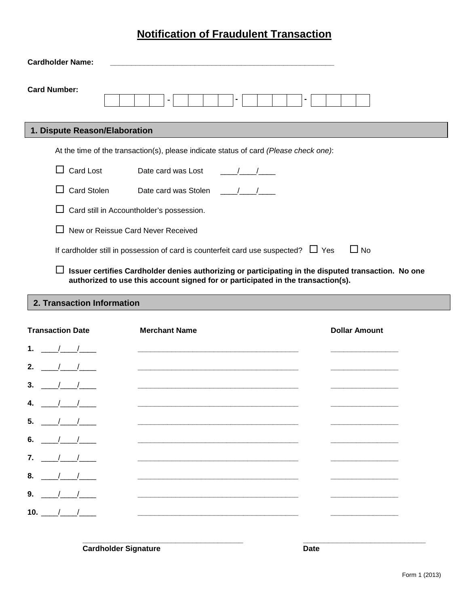## **Notification of Fraudulent Transaction**

| <b>Cardholder Name:</b>       |                                                                                                      |
|-------------------------------|------------------------------------------------------------------------------------------------------|
| <b>Card Number:</b>           |                                                                                                      |
| 1. Dispute Reason/Elaboration |                                                                                                      |
|                               | At the time of the transaction(s), please indicate status of card (Please check one):                |
| Card Lost                     | Date card was Lost                                                                                   |
| <b>Card Stolen</b>            | Date card was Stolen                                                                                 |
|                               | Card still in Accountholder's possession.                                                            |
|                               | New or Reissue Card Never Received                                                                   |
|                               | $\Box$ No<br>If cardholder still in possession of card is counterfeit card use suspected? $\Box$ Yes |
|                               | Issuer certifies Cardholder denies authorizing or participating in the disputed transaction. No one  |

**authorized to use this account signed for or participated in the transaction(s).**

**Transaction Information: 2. Transaction Information**

| <b>Transaction Date</b> | <b>Merchant Name</b>                                                                                                 | <b>Dollar Amount</b> |
|-------------------------|----------------------------------------------------------------------------------------------------------------------|----------------------|
| 1.<br>$\sqrt{1}$        |                                                                                                                      |                      |
| 2.                      | <u> 1980 - Jan James James James James James James James James James James James James James James James James J</u> |                      |
| 3.                      | <u> 1980 - John Stein, Amerikaansk politiker (</u>                                                                   |                      |
| 4.                      | <u> 1980 - John Stein, Amerikaansk politiker (* 1908)</u>                                                            |                      |
| 5.                      |                                                                                                                      |                      |
| 6.                      | <u> 1989 - Johann Barbara, martin amerikan basar dan berasal dalam basa dalam basa dalam basa dalam basa dalam b</u> |                      |
| $\overline{7}$ .        |                                                                                                                      |                      |
| 8.                      | <u> 1980 - John Stein, Amerikaansk politiker (</u> † 1920)                                                           |                      |
| 9.                      | <u> 1980 - Jan Stein Stein, Amerikaansk politik fan de Afrikaanse kommunister (</u>                                  |                      |
| 10. $/$ /               | <u> 1989 - John Stein, Amerikaansk politiker († 1908)</u>                                                            |                      |
|                         |                                                                                                                      |                      |

**\_\_\_\_\_\_\_\_\_\_\_\_\_\_\_\_\_\_\_\_\_\_\_\_\_\_\_\_\_\_\_\_\_\_\_\_\_\_ \_\_\_\_\_\_\_\_\_\_\_\_\_\_\_\_\_\_\_\_\_\_\_\_\_\_\_\_\_**

**Cardholder Signature Date**